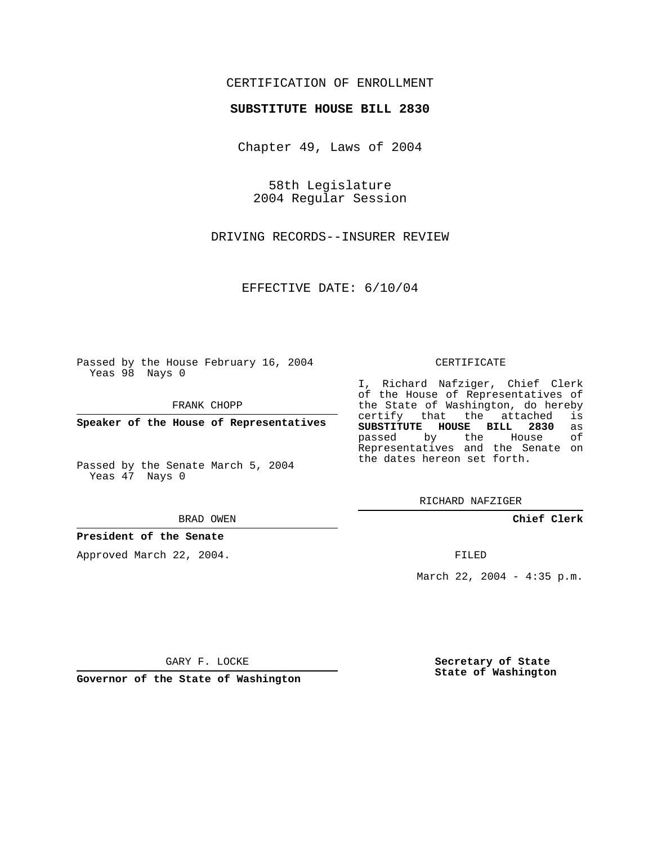### CERTIFICATION OF ENROLLMENT

#### **SUBSTITUTE HOUSE BILL 2830**

Chapter 49, Laws of 2004

58th Legislature 2004 Regular Session

DRIVING RECORDS--INSURER REVIEW

EFFECTIVE DATE: 6/10/04

Passed by the House February 16, 2004 Yeas 98 Nays 0

FRANK CHOPP

**Speaker of the House of Representatives**

Passed by the Senate March 5, 2004 Yeas 47 Nays 0

#### BRAD OWEN

### **President of the Senate**

Approved March 22, 2004.

#### CERTIFICATE

I, Richard Nafziger, Chief Clerk of the House of Representatives of the State of Washington, do hereby<br>certify that the attached is certify that the attached **SUBSTITUTE HOUSE BILL 2830** as passed by the House Representatives and the Senate on the dates hereon set forth.

RICHARD NAFZIGER

**Chief Clerk**

FILED

March 22, 2004 - 4:35 p.m.

GARY F. LOCKE

**Governor of the State of Washington**

**Secretary of State State of Washington**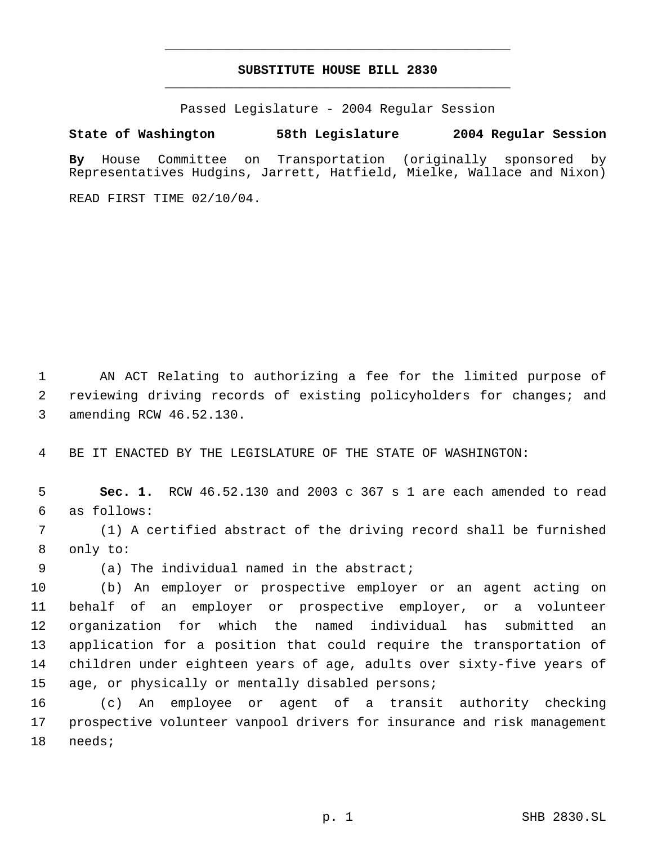# **SUBSTITUTE HOUSE BILL 2830** \_\_\_\_\_\_\_\_\_\_\_\_\_\_\_\_\_\_\_\_\_\_\_\_\_\_\_\_\_\_\_\_\_\_\_\_\_\_\_\_\_\_\_\_\_

\_\_\_\_\_\_\_\_\_\_\_\_\_\_\_\_\_\_\_\_\_\_\_\_\_\_\_\_\_\_\_\_\_\_\_\_\_\_\_\_\_\_\_\_\_

Passed Legislature - 2004 Regular Session

## **State of Washington 58th Legislature 2004 Regular Session**

**By** House Committee on Transportation (originally sponsored by Representatives Hudgins, Jarrett, Hatfield, Mielke, Wallace and Nixon)

READ FIRST TIME 02/10/04.

 AN ACT Relating to authorizing a fee for the limited purpose of reviewing driving records of existing policyholders for changes; and amending RCW 46.52.130.

BE IT ENACTED BY THE LEGISLATURE OF THE STATE OF WASHINGTON:

 **Sec. 1.** RCW 46.52.130 and 2003 c 367 s 1 are each amended to read as follows:

 (1) A certified abstract of the driving record shall be furnished only to:

(a) The individual named in the abstract;

 (b) An employer or prospective employer or an agent acting on behalf of an employer or prospective employer, or a volunteer organization for which the named individual has submitted an application for a position that could require the transportation of children under eighteen years of age, adults over sixty-five years of age, or physically or mentally disabled persons;

 (c) An employee or agent of a transit authority checking prospective volunteer vanpool drivers for insurance and risk management needs;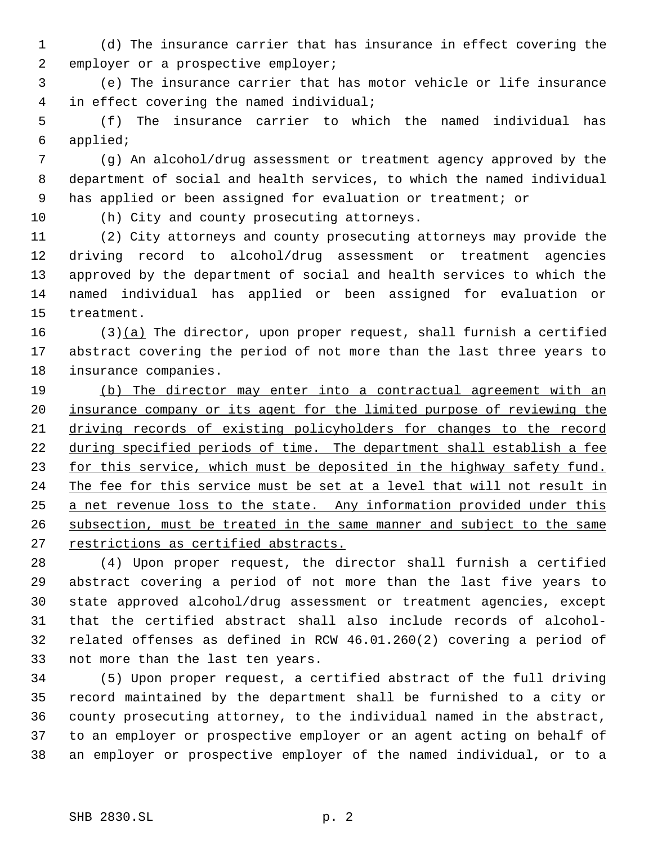(d) The insurance carrier that has insurance in effect covering the 2 employer or a prospective employer;

 (e) The insurance carrier that has motor vehicle or life insurance in effect covering the named individual;

 (f) The insurance carrier to which the named individual has applied;

 (g) An alcohol/drug assessment or treatment agency approved by the department of social and health services, to which the named individual has applied or been assigned for evaluation or treatment; or

(h) City and county prosecuting attorneys.

 (2) City attorneys and county prosecuting attorneys may provide the driving record to alcohol/drug assessment or treatment agencies approved by the department of social and health services to which the named individual has applied or been assigned for evaluation or treatment.

16 (3)(a) The director, upon proper request, shall furnish a certified abstract covering the period of not more than the last three years to insurance companies.

 (b) The director may enter into a contractual agreement with an insurance company or its agent for the limited purpose of reviewing the driving records of existing policyholders for changes to the record 22 during specified periods of time. The department shall establish a fee 23 for this service, which must be deposited in the highway safety fund. 24 The fee for this service must be set at a level that will not result in a net revenue loss to the state. Any information provided under this subsection, must be treated in the same manner and subject to the same 27 restrictions as certified abstracts.

 (4) Upon proper request, the director shall furnish a certified abstract covering a period of not more than the last five years to state approved alcohol/drug assessment or treatment agencies, except that the certified abstract shall also include records of alcohol- related offenses as defined in RCW 46.01.260(2) covering a period of not more than the last ten years.

 (5) Upon proper request, a certified abstract of the full driving record maintained by the department shall be furnished to a city or county prosecuting attorney, to the individual named in the abstract, to an employer or prospective employer or an agent acting on behalf of an employer or prospective employer of the named individual, or to a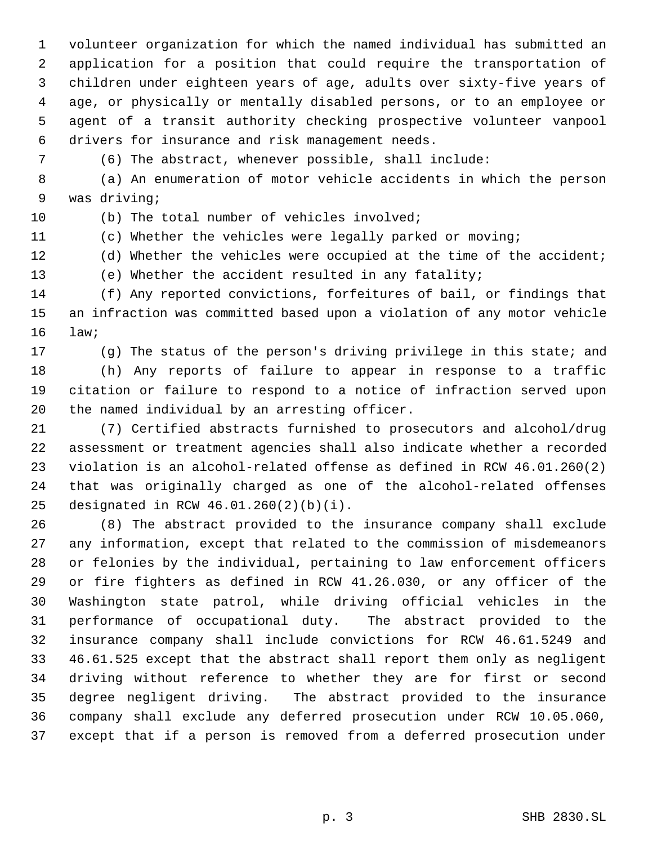volunteer organization for which the named individual has submitted an application for a position that could require the transportation of children under eighteen years of age, adults over sixty-five years of age, or physically or mentally disabled persons, or to an employee or agent of a transit authority checking prospective volunteer vanpool drivers for insurance and risk management needs.

(6) The abstract, whenever possible, shall include:

 (a) An enumeration of motor vehicle accidents in which the person was driving;

(b) The total number of vehicles involved;

(c) Whether the vehicles were legally parked or moving;

(d) Whether the vehicles were occupied at the time of the accident;

(e) Whether the accident resulted in any fatality;

 (f) Any reported convictions, forfeitures of bail, or findings that an infraction was committed based upon a violation of any motor vehicle law;

(g) The status of the person's driving privilege in this state; and

 (h) Any reports of failure to appear in response to a traffic citation or failure to respond to a notice of infraction served upon the named individual by an arresting officer.

 (7) Certified abstracts furnished to prosecutors and alcohol/drug assessment or treatment agencies shall also indicate whether a recorded violation is an alcohol-related offense as defined in RCW 46.01.260(2) that was originally charged as one of the alcohol-related offenses designated in RCW 46.01.260(2)(b)(i).

 (8) The abstract provided to the insurance company shall exclude any information, except that related to the commission of misdemeanors or felonies by the individual, pertaining to law enforcement officers or fire fighters as defined in RCW 41.26.030, or any officer of the Washington state patrol, while driving official vehicles in the performance of occupational duty. The abstract provided to the insurance company shall include convictions for RCW 46.61.5249 and 46.61.525 except that the abstract shall report them only as negligent driving without reference to whether they are for first or second degree negligent driving. The abstract provided to the insurance company shall exclude any deferred prosecution under RCW 10.05.060, except that if a person is removed from a deferred prosecution under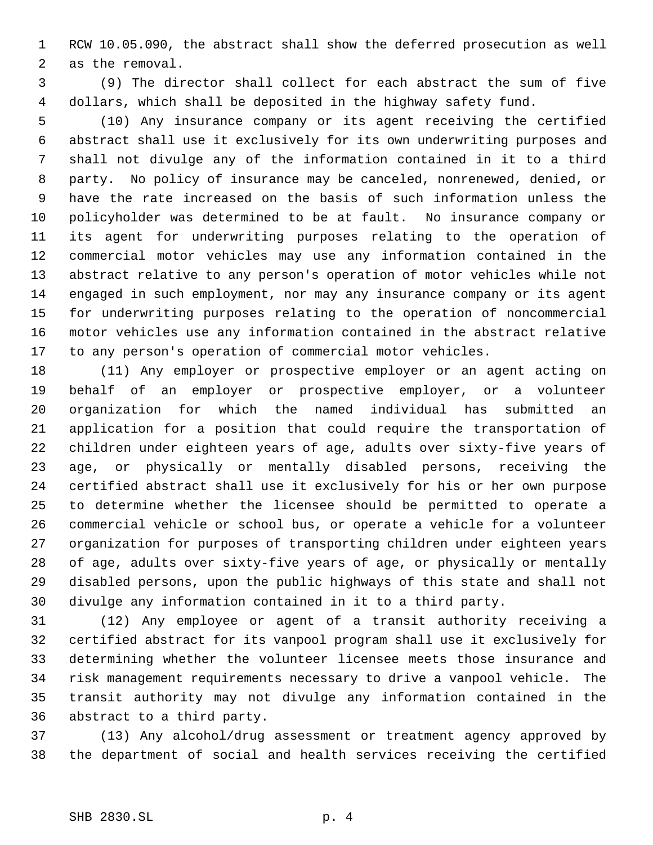RCW 10.05.090, the abstract shall show the deferred prosecution as well as the removal.

 (9) The director shall collect for each abstract the sum of five dollars, which shall be deposited in the highway safety fund.

 (10) Any insurance company or its agent receiving the certified abstract shall use it exclusively for its own underwriting purposes and shall not divulge any of the information contained in it to a third party. No policy of insurance may be canceled, nonrenewed, denied, or have the rate increased on the basis of such information unless the policyholder was determined to be at fault. No insurance company or its agent for underwriting purposes relating to the operation of commercial motor vehicles may use any information contained in the abstract relative to any person's operation of motor vehicles while not engaged in such employment, nor may any insurance company or its agent for underwriting purposes relating to the operation of noncommercial motor vehicles use any information contained in the abstract relative to any person's operation of commercial motor vehicles.

 (11) Any employer or prospective employer or an agent acting on behalf of an employer or prospective employer, or a volunteer organization for which the named individual has submitted an application for a position that could require the transportation of children under eighteen years of age, adults over sixty-five years of age, or physically or mentally disabled persons, receiving the certified abstract shall use it exclusively for his or her own purpose to determine whether the licensee should be permitted to operate a commercial vehicle or school bus, or operate a vehicle for a volunteer organization for purposes of transporting children under eighteen years of age, adults over sixty-five years of age, or physically or mentally disabled persons, upon the public highways of this state and shall not divulge any information contained in it to a third party.

 (12) Any employee or agent of a transit authority receiving a certified abstract for its vanpool program shall use it exclusively for determining whether the volunteer licensee meets those insurance and risk management requirements necessary to drive a vanpool vehicle. The transit authority may not divulge any information contained in the abstract to a third party.

 (13) Any alcohol/drug assessment or treatment agency approved by the department of social and health services receiving the certified